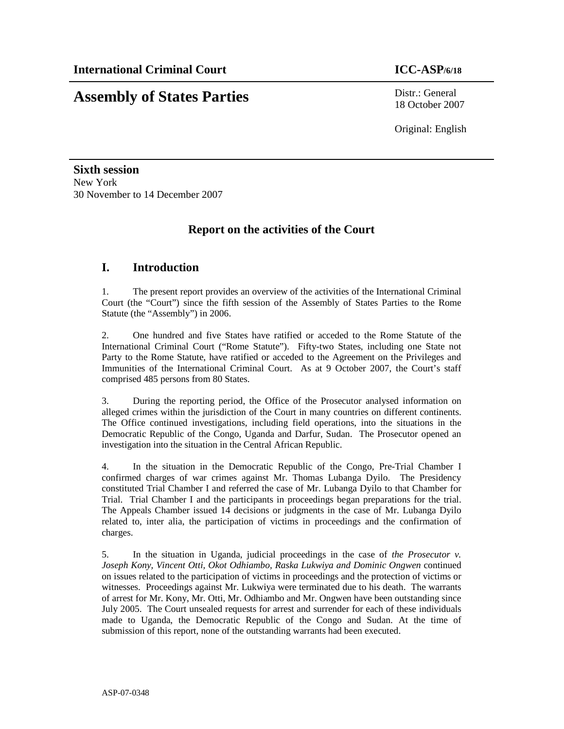# **Assembly of States Parties** Distr.: General

18 October 2007

Original: English

**Sixth session**  New York 30 November to 14 December 2007

## **Report on the activities of the Court**

## **I. Introduction**

1. The present report provides an overview of the activities of the International Criminal Court (the "Court") since the fifth session of the Assembly of States Parties to the Rome Statute (the "Assembly") in 2006.

2. One hundred and five States have ratified or acceded to the Rome Statute of the International Criminal Court ("Rome Statute"). Fifty-two States, including one State not Party to the Rome Statute, have ratified or acceded to the Agreement on the Privileges and Immunities of the International Criminal Court. As at 9 October 2007, the Court's staff comprised 485 persons from 80 States.

3. During the reporting period, the Office of the Prosecutor analysed information on alleged crimes within the jurisdiction of the Court in many countries on different continents. The Office continued investigations, including field operations, into the situations in the Democratic Republic of the Congo, Uganda and Darfur, Sudan. The Prosecutor opened an investigation into the situation in the Central African Republic.

4. In the situation in the Democratic Republic of the Congo, Pre-Trial Chamber I confirmed charges of war crimes against Mr. Thomas Lubanga Dyilo. The Presidency constituted Trial Chamber I and referred the case of Mr. Lubanga Dyilo to that Chamber for Trial. Trial Chamber I and the participants in proceedings began preparations for the trial. The Appeals Chamber issued 14 decisions or judgments in the case of Mr. Lubanga Dyilo related to, inter alia, the participation of victims in proceedings and the confirmation of charges.

5. In the situation in Uganda, judicial proceedings in the case of *the Prosecutor v. Joseph Kony, Vincent Otti, Okot Odhiambo, Raska Lukwiya and Dominic Ongwen* continued on issues related to the participation of victims in proceedings and the protection of victims or witnesses. Proceedings against Mr. Lukwiya were terminated due to his death. The warrants of arrest for Mr. Kony, Mr. Otti, Mr. Odhiambo and Mr. Ongwen have been outstanding since July 2005. The Court unsealed requests for arrest and surrender for each of these individuals made to Uganda, the Democratic Republic of the Congo and Sudan. At the time of submission of this report, none of the outstanding warrants had been executed.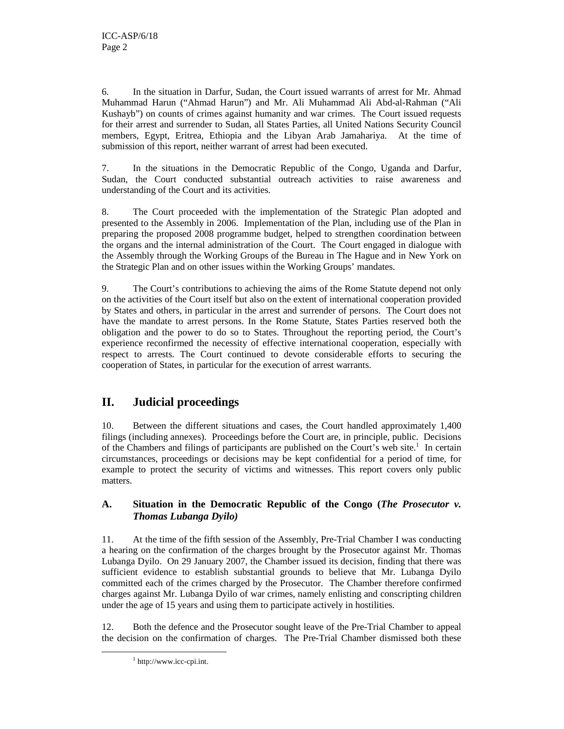6. In the situation in Darfur, Sudan, the Court issued warrants of arrest for Mr. Ahmad Muhammad Harun ("Ahmad Harun") and Mr. Ali Muhammad Ali Abd-al-Rahman ("Ali Kushayb") on counts of crimes against humanity and war crimes. The Court issued requests for their arrest and surrender to Sudan, all States Parties, all United Nations Security Council members, Egypt, Eritrea, Ethiopia and the Libyan Arab Jamahariya. At the time of submission of this report, neither warrant of arrest had been executed.

7. In the situations in the Democratic Republic of the Congo, Uganda and Darfur, Sudan, the Court conducted substantial outreach activities to raise awareness and understanding of the Court and its activities.

8. The Court proceeded with the implementation of the Strategic Plan adopted and presented to the Assembly in 2006. Implementation of the Plan, including use of the Plan in preparing the proposed 2008 programme budget, helped to strengthen coordination between the organs and the internal administration of the Court. The Court engaged in dialogue with the Assembly through the Working Groups of the Bureau in The Hague and in New York on the Strategic Plan and on other issues within the Working Groups' mandates.

9. The Court's contributions to achieving the aims of the Rome Statute depend not only on the activities of the Court itself but also on the extent of international cooperation provided by States and others, in particular in the arrest and surrender of persons. The Court does not have the mandate to arrest persons. In the Rome Statute, States Parties reserved both the obligation and the power to do so to States. Throughout the reporting period, the Court's experience reconfirmed the necessity of effective international cooperation, especially with respect to arrests. The Court continued to devote considerable efforts to securing the cooperation of States, in particular for the execution of arrest warrants.

## **II. Judicial proceedings**

10. Between the different situations and cases, the Court handled approximately 1,400 filings (including annexes). Proceedings before the Court are, in principle, public. Decisions of the Chambers and filings of participants are published on the Court's web site.<sup>1</sup> In certain circumstances, proceedings or decisions may be kept confidential for a period of time, for example to protect the security of victims and witnesses. This report covers only public matters.

### **A. Situation in the Democratic Republic of the Congo (***The Prosecutor v. Thomas Lubanga Dyilo)*

11. At the time of the fifth session of the Assembly, Pre-Trial Chamber I was conducting a hearing on the confirmation of the charges brought by the Prosecutor against Mr. Thomas Lubanga Dyilo. On 29 January 2007, the Chamber issued its decision, finding that there was sufficient evidence to establish substantial grounds to believe that Mr. Lubanga Dyilo committed each of the crimes charged by the Prosecutor. The Chamber therefore confirmed charges against Mr. Lubanga Dyilo of war crimes, namely enlisting and conscripting children under the age of 15 years and using them to participate actively in hostilities.

12. Both the defence and the Prosecutor sought leave of the Pre-Trial Chamber to appeal the decision on the confirmation of charges. The Pre-Trial Chamber dismissed both these

<sup>1</sup> http://www.icc-cpi.int.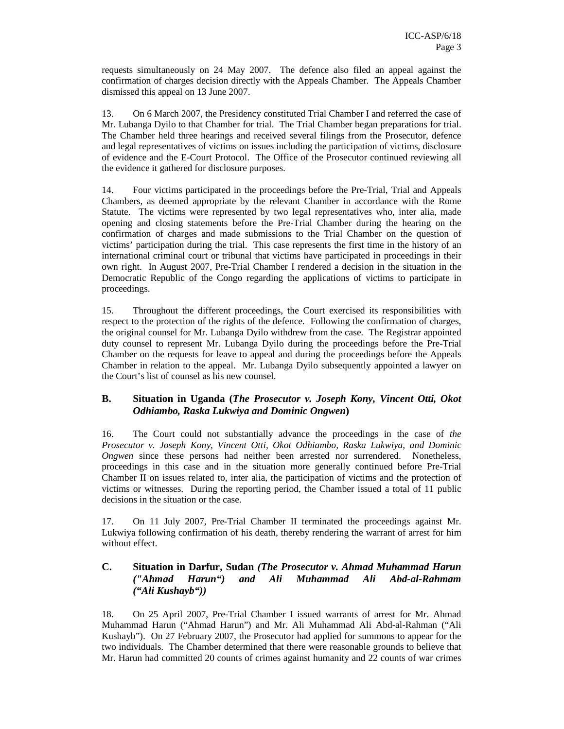requests simultaneously on 24 May 2007. The defence also filed an appeal against the confirmation of charges decision directly with the Appeals Chamber. The Appeals Chamber dismissed this appeal on 13 June 2007.

13. On 6 March 2007, the Presidency constituted Trial Chamber I and referred the case of Mr. Lubanga Dyilo to that Chamber for trial. The Trial Chamber began preparations for trial. The Chamber held three hearings and received several filings from the Prosecutor, defence and legal representatives of victims on issues including the participation of victims, disclosure of evidence and the E-Court Protocol. The Office of the Prosecutor continued reviewing all the evidence it gathered for disclosure purposes.

14. Four victims participated in the proceedings before the Pre-Trial, Trial and Appeals Chambers, as deemed appropriate by the relevant Chamber in accordance with the Rome Statute. The victims were represented by two legal representatives who, inter alia, made opening and closing statements before the Pre-Trial Chamber during the hearing on the confirmation of charges and made submissions to the Trial Chamber on the question of victims' participation during the trial. This case represents the first time in the history of an international criminal court or tribunal that victims have participated in proceedings in their own right. In August 2007, Pre-Trial Chamber I rendered a decision in the situation in the Democratic Republic of the Congo regarding the applications of victims to participate in proceedings.

15. Throughout the different proceedings, the Court exercised its responsibilities with respect to the protection of the rights of the defence. Following the confirmation of charges, the original counsel for Mr. Lubanga Dyilo withdrew from the case. The Registrar appointed duty counsel to represent Mr. Lubanga Dyilo during the proceedings before the Pre-Trial Chamber on the requests for leave to appeal and during the proceedings before the Appeals Chamber in relation to the appeal. Mr. Lubanga Dyilo subsequently appointed a lawyer on the Court's list of counsel as his new counsel.

#### **B. Situation in Uganda (***The Prosecutor v. Joseph Kony, Vincent Otti, Okot Odhiambo, Raska Lukwiya and Dominic Ongwen***)**

16. The Court could not substantially advance the proceedings in the case of *the Prosecutor v. Joseph Kony, Vincent Otti, Okot Odhiambo, Raska Lukwiya, and Dominic Ongwen* since these persons had neither been arrested nor surrendered. Nonetheless, proceedings in this case and in the situation more generally continued before Pre-Trial Chamber II on issues related to, inter alia, the participation of victims and the protection of victims or witnesses. During the reporting period, the Chamber issued a total of 11 public decisions in the situation or the case.

17. On 11 July 2007, Pre-Trial Chamber II terminated the proceedings against Mr. Lukwiya following confirmation of his death, thereby rendering the warrant of arrest for him without effect.

#### **C. Situation in Darfur, Sudan** *(The Prosecutor v. Ahmad Muhammad Harun ("Ahmad Harun") and Ali Muhammad Ali Abd-al-Rahmam ("Ali Kushayb"))*

18. On 25 April 2007, Pre-Trial Chamber I issued warrants of arrest for Mr. Ahmad Muhammad Harun ("Ahmad Harun") and Mr. Ali Muhammad Ali Abd-al-Rahman ("Ali Kushayb"). On 27 February 2007, the Prosecutor had applied for summons to appear for the two individuals. The Chamber determined that there were reasonable grounds to believe that Mr. Harun had committed 20 counts of crimes against humanity and 22 counts of war crimes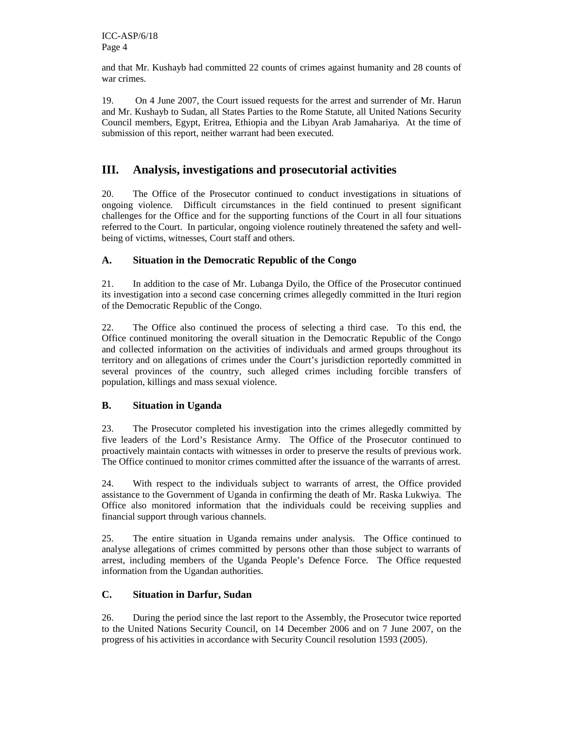and that Mr. Kushayb had committed 22 counts of crimes against humanity and 28 counts of war crimes.

19. On 4 June 2007, the Court issued requests for the arrest and surrender of Mr. Harun and Mr. Kushayb to Sudan, all States Parties to the Rome Statute, all United Nations Security Council members, Egypt, Eritrea, Ethiopia and the Libyan Arab Jamahariya. At the time of submission of this report, neither warrant had been executed.

## **III. Analysis, investigations and prosecutorial activities**

20. The Office of the Prosecutor continued to conduct investigations in situations of ongoing violence. Difficult circumstances in the field continued to present significant challenges for the Office and for the supporting functions of the Court in all four situations referred to the Court. In particular, ongoing violence routinely threatened the safety and wellbeing of victims, witnesses, Court staff and others.

#### **A. Situation in the Democratic Republic of the Congo**

21. In addition to the case of Mr. Lubanga Dyilo, the Office of the Prosecutor continued its investigation into a second case concerning crimes allegedly committed in the Ituri region of the Democratic Republic of the Congo.

22. The Office also continued the process of selecting a third case. To this end, the Office continued monitoring the overall situation in the Democratic Republic of the Congo and collected information on the activities of individuals and armed groups throughout its territory and on allegations of crimes under the Court's jurisdiction reportedly committed in several provinces of the country, such alleged crimes including forcible transfers of population, killings and mass sexual violence.

#### **B. Situation in Uganda**

23. The Prosecutor completed his investigation into the crimes allegedly committed by five leaders of the Lord's Resistance Army. The Office of the Prosecutor continued to proactively maintain contacts with witnesses in order to preserve the results of previous work. The Office continued to monitor crimes committed after the issuance of the warrants of arrest.

24. With respect to the individuals subject to warrants of arrest, the Office provided assistance to the Government of Uganda in confirming the death of Mr. Raska Lukwiya. The Office also monitored information that the individuals could be receiving supplies and financial support through various channels.

25. The entire situation in Uganda remains under analysis. The Office continued to analyse allegations of crimes committed by persons other than those subject to warrants of arrest, including members of the Uganda People's Defence Force. The Office requested information from the Ugandan authorities.

### **C. Situation in Darfur, Sudan**

26. During the period since the last report to the Assembly, the Prosecutor twice reported to the United Nations Security Council, on 14 December 2006 and on 7 June 2007, on the progress of his activities in accordance with Security Council resolution 1593 (2005).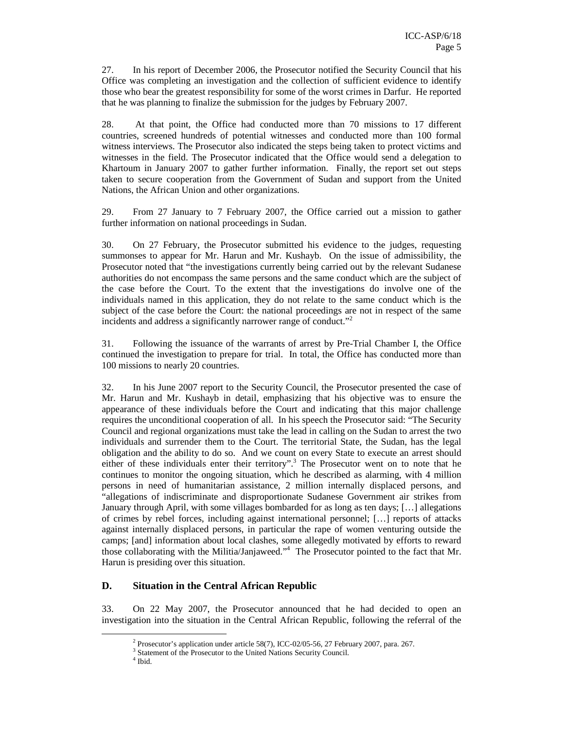27. In his report of December 2006, the Prosecutor notified the Security Council that his Office was completing an investigation and the collection of sufficient evidence to identify those who bear the greatest responsibility for some of the worst crimes in Darfur. He reported that he was planning to finalize the submission for the judges by February 2007.

28. At that point, the Office had conducted more than 70 missions to 17 different countries, screened hundreds of potential witnesses and conducted more than 100 formal witness interviews. The Prosecutor also indicated the steps being taken to protect victims and witnesses in the field. The Prosecutor indicated that the Office would send a delegation to Khartoum in January 2007 to gather further information. Finally, the report set out steps taken to secure cooperation from the Government of Sudan and support from the United Nations, the African Union and other organizations.

29. From 27 January to 7 February 2007, the Office carried out a mission to gather further information on national proceedings in Sudan.

30. On 27 February, the Prosecutor submitted his evidence to the judges, requesting summonses to appear for Mr. Harun and Mr. Kushayb. On the issue of admissibility, the Prosecutor noted that "the investigations currently being carried out by the relevant Sudanese authorities do not encompass the same persons and the same conduct which are the subject of the case before the Court. To the extent that the investigations do involve one of the individuals named in this application, they do not relate to the same conduct which is the subject of the case before the Court: the national proceedings are not in respect of the same incidents and address a significantly narrower range of conduct."<sup>2</sup>

31. Following the issuance of the warrants of arrest by Pre-Trial Chamber I, the Office continued the investigation to prepare for trial. In total, the Office has conducted more than 100 missions to nearly 20 countries.

32. In his June 2007 report to the Security Council, the Prosecutor presented the case of Mr. Harun and Mr. Kushayb in detail, emphasizing that his objective was to ensure the appearance of these individuals before the Court and indicating that this major challenge requires the unconditional cooperation of all. In his speech the Prosecutor said: "The Security Council and regional organizations must take the lead in calling on the Sudan to arrest the two individuals and surrender them to the Court. The territorial State, the Sudan, has the legal obligation and the ability to do so. And we count on every State to execute an arrest should either of these individuals enter their territory".<sup>3</sup> The Prosecutor went on to note that he continues to monitor the ongoing situation, which he described as alarming, with 4 million persons in need of humanitarian assistance, 2 million internally displaced persons, and "allegations of indiscriminate and disproportionate Sudanese Government air strikes from January through April, with some villages bombarded for as long as ten days; […] allegations of crimes by rebel forces, including against international personnel; […] reports of attacks against internally displaced persons, in particular the rape of women venturing outside the camps; [and] information about local clashes, some allegedly motivated by efforts to reward those collaborating with the Militia/Janjaweed."<sup>4</sup> The Prosecutor pointed to the fact that Mr. Harun is presiding over this situation.

#### **D. Situation in the Central African Republic**

33. On 22 May 2007, the Prosecutor announced that he had decided to open an investigation into the situation in the Central African Republic, following the referral of the

<sup>&</sup>lt;sup>2</sup> Prosecutor's application under article 58(7), ICC-02/05-56, 27 February 2007, para. 267.

<sup>&</sup>lt;sup>3</sup> Statement of the Prosecutor to the United Nations Security Council.

<sup>4</sup> Ibid.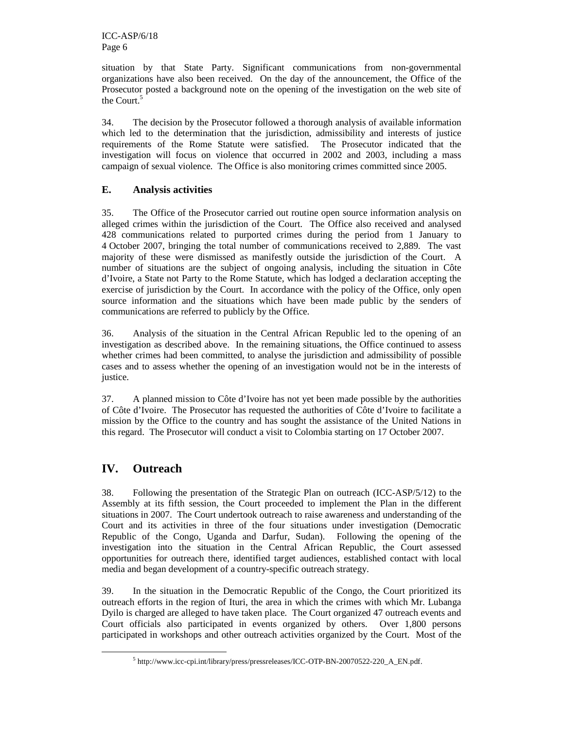situation by that State Party. Significant communications from non-governmental organizations have also been received. On the day of the announcement, the Office of the Prosecutor posted a background note on the opening of the investigation on the web site of the Court.<sup>5</sup>

34. The decision by the Prosecutor followed a thorough analysis of available information which led to the determination that the jurisdiction, admissibility and interests of justice requirements of the Rome Statute were satisfied. The Prosecutor indicated that the investigation will focus on violence that occurred in 2002 and 2003, including a mass campaign of sexual violence. The Office is also monitoring crimes committed since 2005.

### **E. Analysis activities**

35. The Office of the Prosecutor carried out routine open source information analysis on alleged crimes within the jurisdiction of the Court. The Office also received and analysed 428 communications related to purported crimes during the period from 1 January to 4 October 2007, bringing the total number of communications received to 2,889. The vast majority of these were dismissed as manifestly outside the jurisdiction of the Court. A number of situations are the subject of ongoing analysis, including the situation in Côte d'Ivoire, a State not Party to the Rome Statute, which has lodged a declaration accepting the exercise of jurisdiction by the Court. In accordance with the policy of the Office, only open source information and the situations which have been made public by the senders of communications are referred to publicly by the Office.

36. Analysis of the situation in the Central African Republic led to the opening of an investigation as described above. In the remaining situations, the Office continued to assess whether crimes had been committed, to analyse the jurisdiction and admissibility of possible cases and to assess whether the opening of an investigation would not be in the interests of justice.

37. A planned mission to Côte d'Ivoire has not yet been made possible by the authorities of Côte d'Ivoire. The Prosecutor has requested the authorities of Côte d'Ivoire to facilitate a mission by the Office to the country and has sought the assistance of the United Nations in this regard. The Prosecutor will conduct a visit to Colombia starting on 17 October 2007.

## **IV. Outreach**

-

38. Following the presentation of the Strategic Plan on outreach (ICC-ASP/5/12) to the Assembly at its fifth session, the Court proceeded to implement the Plan in the different situations in 2007. The Court undertook outreach to raise awareness and understanding of the Court and its activities in three of the four situations under investigation (Democratic Republic of the Congo, Uganda and Darfur, Sudan). Following the opening of the investigation into the situation in the Central African Republic, the Court assessed opportunities for outreach there, identified target audiences, established contact with local media and began development of a country-specific outreach strategy.

39. In the situation in the Democratic Republic of the Congo, the Court prioritized its outreach efforts in the region of Ituri, the area in which the crimes with which Mr. Lubanga Dyilo is charged are alleged to have taken place. The Court organized 47 outreach events and Court officials also participated in events organized by others. Over 1,800 persons participated in workshops and other outreach activities organized by the Court. Most of the

<sup>&</sup>lt;sup>5</sup> http://www.icc-cpi.int/library/press/pressreleases/ICC-OTP-BN-20070522-220\_A\_EN.pdf.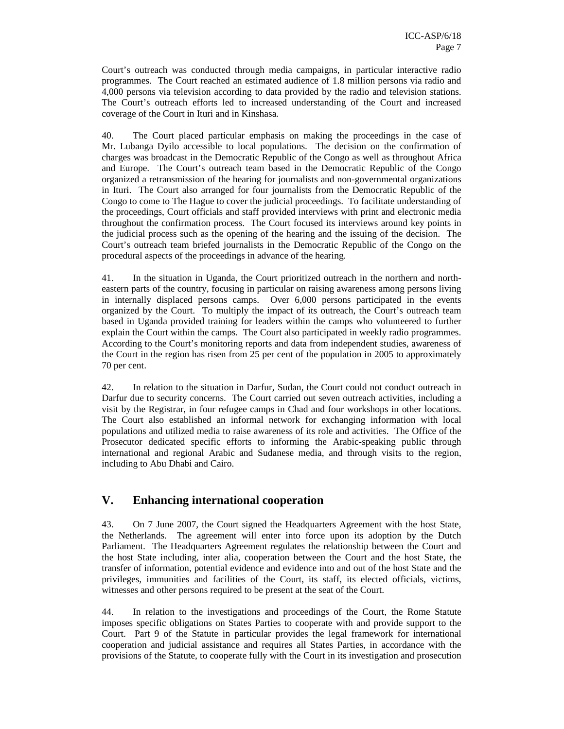Court's outreach was conducted through media campaigns, in particular interactive radio programmes. The Court reached an estimated audience of 1.8 million persons via radio and 4,000 persons via television according to data provided by the radio and television stations. The Court's outreach efforts led to increased understanding of the Court and increased coverage of the Court in Ituri and in Kinshasa.

40. The Court placed particular emphasis on making the proceedings in the case of Mr. Lubanga Dyilo accessible to local populations. The decision on the confirmation of charges was broadcast in the Democratic Republic of the Congo as well as throughout Africa and Europe. The Court's outreach team based in the Democratic Republic of the Congo organized a retransmission of the hearing for journalists and non-governmental organizations in Ituri. The Court also arranged for four journalists from the Democratic Republic of the Congo to come to The Hague to cover the judicial proceedings. To facilitate understanding of the proceedings, Court officials and staff provided interviews with print and electronic media throughout the confirmation process. The Court focused its interviews around key points in the judicial process such as the opening of the hearing and the issuing of the decision. The Court's outreach team briefed journalists in the Democratic Republic of the Congo on the procedural aspects of the proceedings in advance of the hearing.

41. In the situation in Uganda, the Court prioritized outreach in the northern and northeastern parts of the country, focusing in particular on raising awareness among persons living in internally displaced persons camps. Over 6,000 persons participated in the events organized by the Court. To multiply the impact of its outreach, the Court's outreach team based in Uganda provided training for leaders within the camps who volunteered to further explain the Court within the camps. The Court also participated in weekly radio programmes. According to the Court's monitoring reports and data from independent studies, awareness of the Court in the region has risen from 25 per cent of the population in 2005 to approximately 70 per cent.

42. In relation to the situation in Darfur, Sudan, the Court could not conduct outreach in Darfur due to security concerns. The Court carried out seven outreach activities, including a visit by the Registrar, in four refugee camps in Chad and four workshops in other locations. The Court also established an informal network for exchanging information with local populations and utilized media to raise awareness of its role and activities. The Office of the Prosecutor dedicated specific efforts to informing the Arabic-speaking public through international and regional Arabic and Sudanese media, and through visits to the region, including to Abu Dhabi and Cairo.

## **V. Enhancing international cooperation**

43. On 7 June 2007, the Court signed the Headquarters Agreement with the host State, the Netherlands. The agreement will enter into force upon its adoption by the Dutch Parliament. The Headquarters Agreement regulates the relationship between the Court and the host State including, inter alia, cooperation between the Court and the host State, the transfer of information, potential evidence and evidence into and out of the host State and the privileges, immunities and facilities of the Court, its staff, its elected officials, victims, witnesses and other persons required to be present at the seat of the Court.

44. In relation to the investigations and proceedings of the Court, the Rome Statute imposes specific obligations on States Parties to cooperate with and provide support to the Court. Part 9 of the Statute in particular provides the legal framework for international cooperation and judicial assistance and requires all States Parties, in accordance with the provisions of the Statute, to cooperate fully with the Court in its investigation and prosecution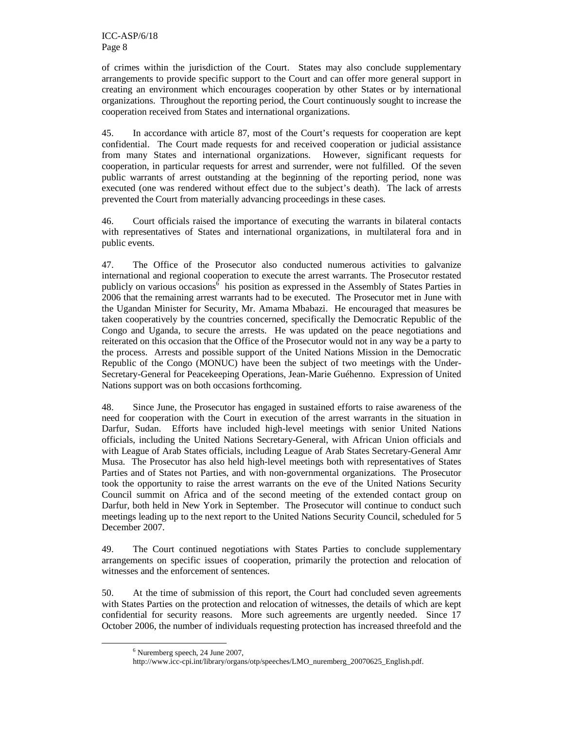of crimes within the jurisdiction of the Court. States may also conclude supplementary arrangements to provide specific support to the Court and can offer more general support in creating an environment which encourages cooperation by other States or by international organizations. Throughout the reporting period, the Court continuously sought to increase the cooperation received from States and international organizations.

45. In accordance with article 87, most of the Court's requests for cooperation are kept confidential. The Court made requests for and received cooperation or judicial assistance from many States and international organizations. However, significant requests for cooperation, in particular requests for arrest and surrender, were not fulfilled. Of the seven public warrants of arrest outstanding at the beginning of the reporting period, none was executed (one was rendered without effect due to the subject's death). The lack of arrests prevented the Court from materially advancing proceedings in these cases.

46. Court officials raised the importance of executing the warrants in bilateral contacts with representatives of States and international organizations, in multilateral fora and in public events.

47. The Office of the Prosecutor also conducted numerous activities to galvanize international and regional cooperation to execute the arrest warrants. The Prosecutor restated publicly on various  $\overline{\text{occasions}}^6$  his position as expressed in the Assembly of States Parties in 2006 that the remaining arrest warrants had to be executed. The Prosecutor met in June with the Ugandan Minister for Security, Mr. Amama Mbabazi. He encouraged that measures be taken cooperatively by the countries concerned, specifically the Democratic Republic of the Congo and Uganda, to secure the arrests. He was updated on the peace negotiations and reiterated on this occasion that the Office of the Prosecutor would not in any way be a party to the process. Arrests and possible support of the United Nations Mission in the Democratic Republic of the Congo (MONUC) have been the subject of two meetings with the Under-Secretary-General for Peacekeeping Operations, Jean-Marie Guéhenno. Expression of United Nations support was on both occasions forthcoming.

48. Since June, the Prosecutor has engaged in sustained efforts to raise awareness of the need for cooperation with the Court in execution of the arrest warrants in the situation in Darfur, Sudan. Efforts have included high-level meetings with senior United Nations officials, including the United Nations Secretary-General, with African Union officials and with League of Arab States officials, including League of Arab States Secretary-General Amr Musa. The Prosecutor has also held high-level meetings both with representatives of States Parties and of States not Parties, and with non-governmental organizations. The Prosecutor took the opportunity to raise the arrest warrants on the eve of the United Nations Security Council summit on Africa and of the second meeting of the extended contact group on Darfur, both held in New York in September. The Prosecutor will continue to conduct such meetings leading up to the next report to the United Nations Security Council, scheduled for 5 December 2007.

49. The Court continued negotiations with States Parties to conclude supplementary arrangements on specific issues of cooperation, primarily the protection and relocation of witnesses and the enforcement of sentences.

50. At the time of submission of this report, the Court had concluded seven agreements with States Parties on the protection and relocation of witnesses, the details of which are kept confidential for security reasons. More such agreements are urgently needed. Since 17 October 2006, the number of individuals requesting protection has increased threefold and the

<sup>6</sup> Nuremberg speech, 24 June 2007,

http://www.icc-cpi.int/library/organs/otp/speeches/LMO\_nuremberg\_20070625\_English.pdf.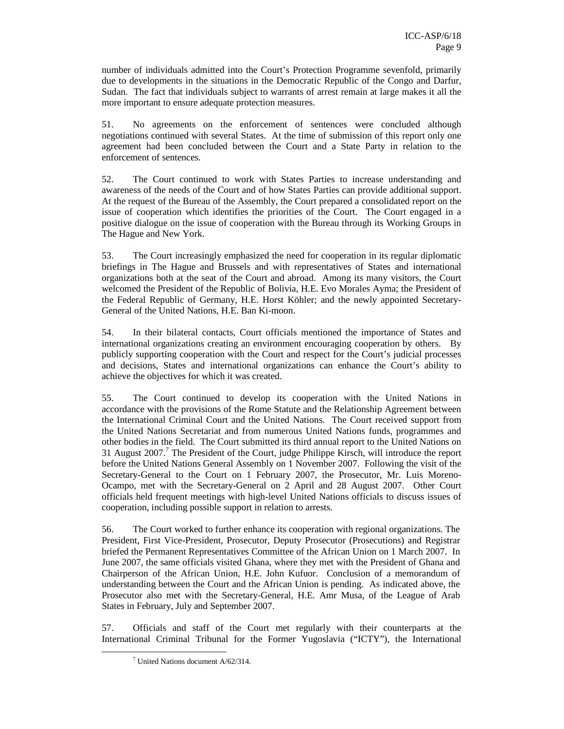number of individuals admitted into the Court's Protection Programme sevenfold, primarily due to developments in the situations in the Democratic Republic of the Congo and Darfur, Sudan. The fact that individuals subject to warrants of arrest remain at large makes it all the more important to ensure adequate protection measures.

51. No agreements on the enforcement of sentences were concluded although negotiations continued with several States. At the time of submission of this report only one agreement had been concluded between the Court and a State Party in relation to the enforcement of sentences.

52. The Court continued to work with States Parties to increase understanding and awareness of the needs of the Court and of how States Parties can provide additional support. At the request of the Bureau of the Assembly, the Court prepared a consolidated report on the issue of cooperation which identifies the priorities of the Court. The Court engaged in a positive dialogue on the issue of cooperation with the Bureau through its Working Groups in The Hague and New York.

53. The Court increasingly emphasized the need for cooperation in its regular diplomatic briefings in The Hague and Brussels and with representatives of States and international organizations both at the seat of the Court and abroad. Among its many visitors, the Court welcomed the President of the Republic of Bolivia, H.E. Evo Morales Ayma; the President of the Federal Republic of Germany, H.E. Horst Köhler; and the newly appointed Secretary-General of the United Nations, H.E. Ban Ki-moon.

54. In their bilateral contacts, Court officials mentioned the importance of States and international organizations creating an environment encouraging cooperation by others. By publicly supporting cooperation with the Court and respect for the Court's judicial processes and decisions, States and international organizations can enhance the Court's ability to achieve the objectives for which it was created.

55. The Court continued to develop its cooperation with the United Nations in accordance with the provisions of the Rome Statute and the Relationship Agreement between the International Criminal Court and the United Nations. The Court received support from the United Nations Secretariat and from numerous United Nations funds, programmes and other bodies in the field. The Court submitted its third annual report to the United Nations on 31 August 2007.<sup>7</sup> The President of the Court, judge Philippe Kirsch, will introduce the report before the United Nations General Assembly on 1 November 2007. Following the visit of the Secretary-General to the Court on 1 February 2007, the Prosecutor, Mr. Luis Moreno-Ocampo, met with the Secretary-General on 2 April and 28 August 2007. Other Court officials held frequent meetings with high-level United Nations officials to discuss issues of cooperation, including possible support in relation to arrests.

56. The Court worked to further enhance its cooperation with regional organizations. The President, First Vice-President, Prosecutor, Deputy Prosecutor (Prosecutions) and Registrar briefed the Permanent Representatives Committee of the African Union on 1 March 2007. In June 2007, the same officials visited Ghana, where they met with the President of Ghana and Chairperson of the African Union, H.E. John Kufuor. Conclusion of a memorandum of understanding between the Court and the African Union is pending. As indicated above, the Prosecutor also met with the Secretary-General, H.E. Amr Musa, of the League of Arab States in February, July and September 2007.

57. Officials and staff of the Court met regularly with their counterparts at the International Criminal Tribunal for the Former Yugoslavia ("ICTY"), the International

<sup>7</sup> United Nations document A/62/314.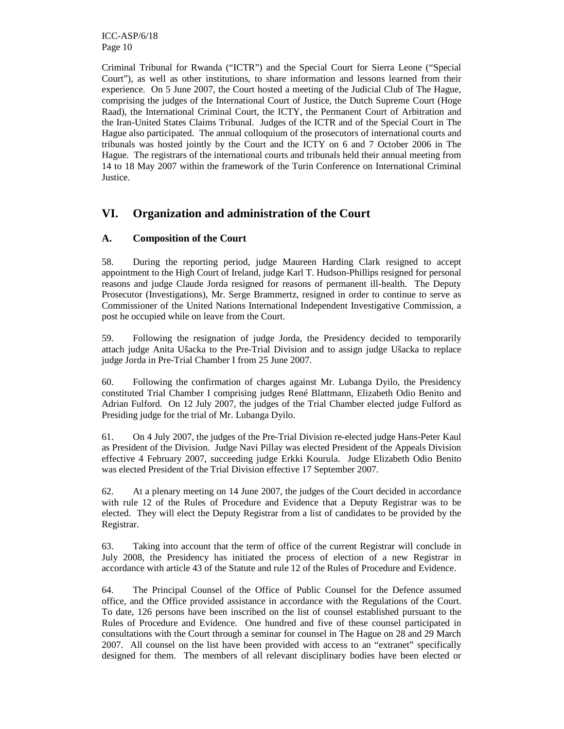ICC-ASP/6/18 Page 10

Criminal Tribunal for Rwanda ("ICTR") and the Special Court for Sierra Leone ("Special Court"), as well as other institutions, to share information and lessons learned from their experience. On 5 June 2007, the Court hosted a meeting of the Judicial Club of The Hague, comprising the judges of the International Court of Justice, the Dutch Supreme Court (Hoge Raad), the International Criminal Court, the ICTY, the Permanent Court of Arbitration and the Iran-United States Claims Tribunal. Judges of the ICTR and of the Special Court in The Hague also participated. The annual colloquium of the prosecutors of international courts and tribunals was hosted jointly by the Court and the ICTY on 6 and 7 October 2006 in The Hague. The registrars of the international courts and tribunals held their annual meeting from 14 to 18 May 2007 within the framework of the Turin Conference on International Criminal Justice.

## **VI. Organization and administration of the Court**

#### **A. Composition of the Court**

58. During the reporting period, judge Maureen Harding Clark resigned to accept appointment to the High Court of Ireland, judge Karl T. Hudson-Phillips resigned for personal reasons and judge Claude Jorda resigned for reasons of permanent ill-health. The Deputy Prosecutor (Investigations), Mr. Serge Brammertz, resigned in order to continue to serve as Commissioner of the United Nations International Independent Investigative Commission, a post he occupied while on leave from the Court.

59. Following the resignation of judge Jorda, the Presidency decided to temporarily attach judge Anita Ušacka to the Pre-Trial Division and to assign judge Ušacka to replace judge Jorda in Pre-Trial Chamber I from 25 June 2007.

60. Following the confirmation of charges against Mr. Lubanga Dyilo, the Presidency constituted Trial Chamber I comprising judges René Blattmann, Elizabeth Odio Benito and Adrian Fulford. On 12 July 2007, the judges of the Trial Chamber elected judge Fulford as Presiding judge for the trial of Mr. Lubanga Dyilo.

61. On 4 July 2007, the judges of the Pre-Trial Division re-elected judge Hans-Peter Kaul as President of the Division. Judge Navi Pillay was elected President of the Appeals Division effective 4 February 2007, succeeding judge Erkki Kourula. Judge Elizabeth Odio Benito was elected President of the Trial Division effective 17 September 2007.

62. At a plenary meeting on 14 June 2007, the judges of the Court decided in accordance with rule 12 of the Rules of Procedure and Evidence that a Deputy Registrar was to be elected. They will elect the Deputy Registrar from a list of candidates to be provided by the Registrar.

63. Taking into account that the term of office of the current Registrar will conclude in July 2008, the Presidency has initiated the process of election of a new Registrar in accordance with article 43 of the Statute and rule 12 of the Rules of Procedure and Evidence.

64. The Principal Counsel of the Office of Public Counsel for the Defence assumed office, and the Office provided assistance in accordance with the Regulations of the Court. To date, 126 persons have been inscribed on the list of counsel established pursuant to the Rules of Procedure and Evidence. One hundred and five of these counsel participated in consultations with the Court through a seminar for counsel in The Hague on 28 and 29 March 2007. All counsel on the list have been provided with access to an "extranet" specifically designed for them. The members of all relevant disciplinary bodies have been elected or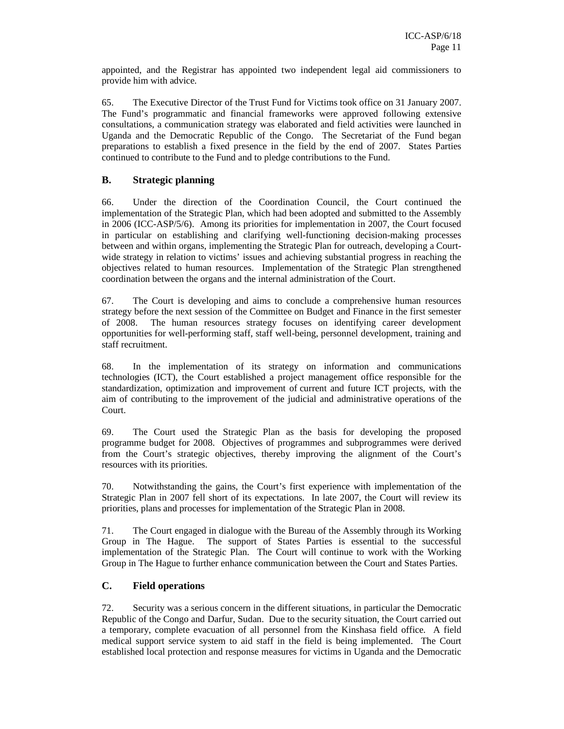appointed, and the Registrar has appointed two independent legal aid commissioners to provide him with advice.

65. The Executive Director of the Trust Fund for Victims took office on 31 January 2007. The Fund's programmatic and financial frameworks were approved following extensive consultations, a communication strategy was elaborated and field activities were launched in Uganda and the Democratic Republic of the Congo. The Secretariat of the Fund began preparations to establish a fixed presence in the field by the end of 2007. States Parties continued to contribute to the Fund and to pledge contributions to the Fund.

#### **B. Strategic planning**

66. Under the direction of the Coordination Council, the Court continued the implementation of the Strategic Plan, which had been adopted and submitted to the Assembly in 2006 (ICC-ASP/5/6). Among its priorities for implementation in 2007, the Court focused in particular on establishing and clarifying well-functioning decision-making processes between and within organs, implementing the Strategic Plan for outreach, developing a Courtwide strategy in relation to victims' issues and achieving substantial progress in reaching the objectives related to human resources. Implementation of the Strategic Plan strengthened coordination between the organs and the internal administration of the Court.

67. The Court is developing and aims to conclude a comprehensive human resources strategy before the next session of the Committee on Budget and Finance in the first semester of 2008. The human resources strategy focuses on identifying career development opportunities for well-performing staff, staff well-being, personnel development, training and staff recruitment.

68. In the implementation of its strategy on information and communications technologies (ICT), the Court established a project management office responsible for the standardization, optimization and improvement of current and future ICT projects, with the aim of contributing to the improvement of the judicial and administrative operations of the Court.

69. The Court used the Strategic Plan as the basis for developing the proposed programme budget for 2008. Objectives of programmes and subprogrammes were derived from the Court's strategic objectives, thereby improving the alignment of the Court's resources with its priorities.

70. Notwithstanding the gains, the Court's first experience with implementation of the Strategic Plan in 2007 fell short of its expectations. In late 2007, the Court will review its priorities, plans and processes for implementation of the Strategic Plan in 2008.

71. The Court engaged in dialogue with the Bureau of the Assembly through its Working Group in The Hague. The support of States Parties is essential to the successful implementation of the Strategic Plan. The Court will continue to work with the Working Group in The Hague to further enhance communication between the Court and States Parties.

#### **C. Field operations**

72. Security was a serious concern in the different situations, in particular the Democratic Republic of the Congo and Darfur, Sudan. Due to the security situation, the Court carried out a temporary, complete evacuation of all personnel from the Kinshasa field office. A field medical support service system to aid staff in the field is being implemented. The Court established local protection and response measures for victims in Uganda and the Democratic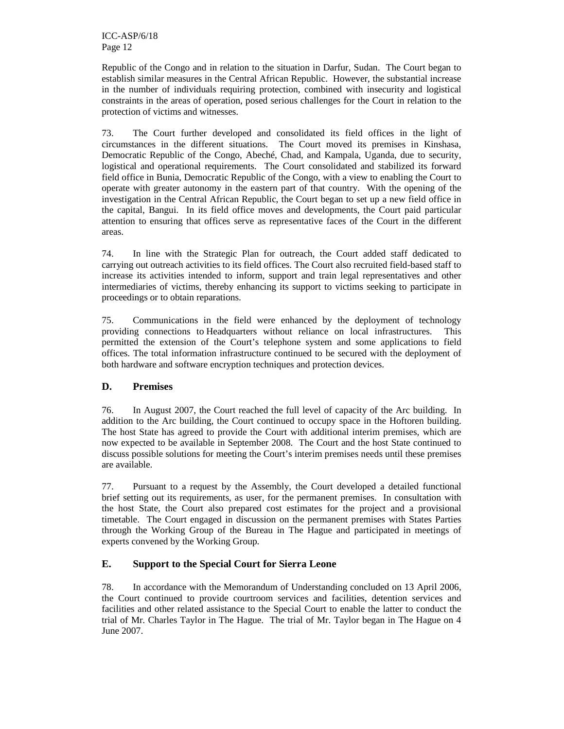Republic of the Congo and in relation to the situation in Darfur, Sudan. The Court began to establish similar measures in the Central African Republic. However, the substantial increase in the number of individuals requiring protection, combined with insecurity and logistical constraints in the areas of operation, posed serious challenges for the Court in relation to the protection of victims and witnesses.

73. The Court further developed and consolidated its field offices in the light of circumstances in the different situations. The Court moved its premises in Kinshasa, Democratic Republic of the Congo, Abeché, Chad, and Kampala, Uganda, due to security, logistical and operational requirements. The Court consolidated and stabilized its forward field office in Bunia, Democratic Republic of the Congo, with a view to enabling the Court to operate with greater autonomy in the eastern part of that country. With the opening of the investigation in the Central African Republic, the Court began to set up a new field office in the capital, Bangui. In its field office moves and developments, the Court paid particular attention to ensuring that offices serve as representative faces of the Court in the different areas.

74. In line with the Strategic Plan for outreach, the Court added staff dedicated to carrying out outreach activities to its field offices. The Court also recruited field-based staff to increase its activities intended to inform, support and train legal representatives and other intermediaries of victims, thereby enhancing its support to victims seeking to participate in proceedings or to obtain reparations.

75. Communications in the field were enhanced by the deployment of technology providing connections to Headquarters without reliance on local infrastructures. This permitted the extension of the Court's telephone system and some applications to field offices. The total information infrastructure continued to be secured with the deployment of both hardware and software encryption techniques and protection devices.

#### **D. Premises**

76. In August 2007, the Court reached the full level of capacity of the Arc building. In addition to the Arc building, the Court continued to occupy space in the Hoftoren building. The host State has agreed to provide the Court with additional interim premises, which are now expected to be available in September 2008. The Court and the host State continued to discuss possible solutions for meeting the Court's interim premises needs until these premises are available.

77. Pursuant to a request by the Assembly, the Court developed a detailed functional brief setting out its requirements, as user, for the permanent premises. In consultation with the host State, the Court also prepared cost estimates for the project and a provisional timetable. The Court engaged in discussion on the permanent premises with States Parties through the Working Group of the Bureau in The Hague and participated in meetings of experts convened by the Working Group.

### **E. Support to the Special Court for Sierra Leone**

78. In accordance with the Memorandum of Understanding concluded on 13 April 2006, the Court continued to provide courtroom services and facilities, detention services and facilities and other related assistance to the Special Court to enable the latter to conduct the trial of Mr. Charles Taylor in The Hague. The trial of Mr. Taylor began in The Hague on 4 June 2007.